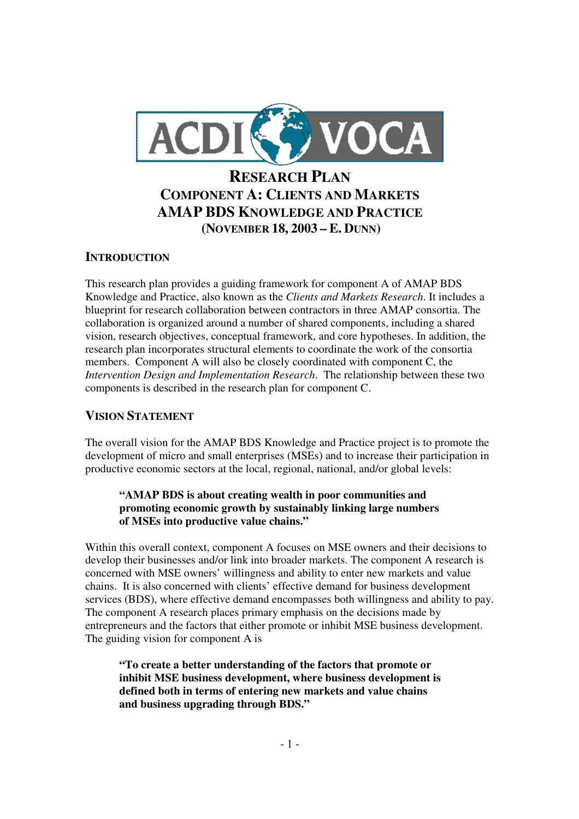

## **INTRODUCTION**

This research plan provides a guiding framework for component A of AMAP BDS Knowledge and Practice, also known as the *Clients and Markets Research*. It includes a blueprint for research collaboration between contractors in three AMAP consortia. The collaboration is organized around a number of shared components, including a shared vision, research objectives, conceptual framework, and core hypotheses. In addition, the research plan incorporates structural elements to coordinate the work of the consortia members. Component A will also be closely coordinated with component C, the *Intervention Design and Implementation Research*. The relationship between these two components is described in the research plan for component C.

## **VISION STATEMENT**

The overall vision for the AMAP BDS Knowledge and Practice project is to promote the development of micro and small enterprises (MSEs) and to increase their participation in productive economic sectors at the local, regional, national, and/or global levels:

#### **"AMAP BDS is about creating wealth in poor communities and promoting economic growth by sustainably linking large numbers of MSEs into productive value chains."**

Within this overall context, component A focuses on MSE owners and their decisions to develop their businesses and/or link into broader markets. The component A research is concerned with MSE owners' willingness and ability to enter new markets and value chains. It is also concerned with clients' effective demand for business development services (BDS), where effective demand encompasses both willingness and ability to pay. The component A research places primary emphasis on the decisions made by entrepreneurs and the factors that either promote or inhibit MSE business development. The guiding vision for component A is

**"To create a better understanding of the factors that promote or inhibit MSE business development, where business development is defined both in terms of entering new markets and value chains and business upgrading through BDS."**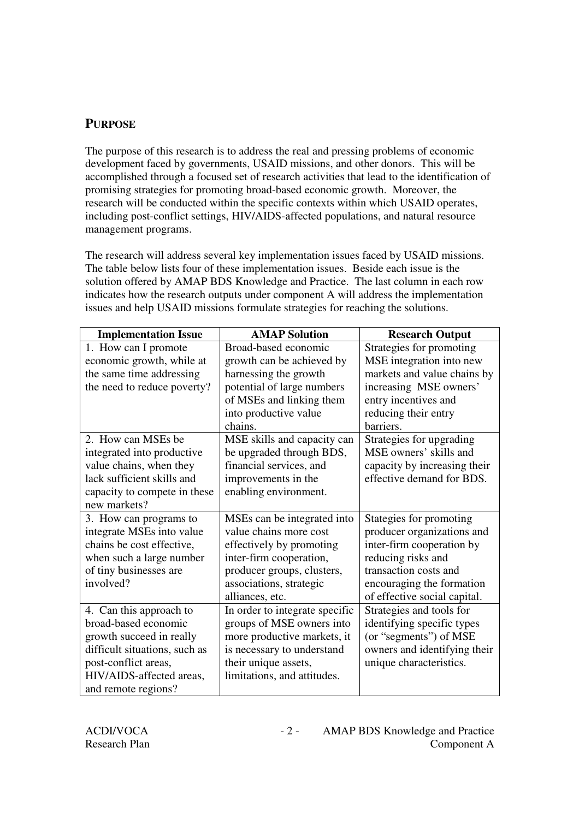# **PURPOSE**

The purpose of this research is to address the real and pressing problems of economic development faced by governments, USAID missions, and other donors. This will be accomplished through a focused set of research activities that lead to the identification of promising strategies for promoting broad-based economic growth. Moreover, the research will be conducted within the specific contexts within which USAID operates, including post-conflict settings, HIV/AIDS-affected populations, and natural resource management programs.

The research will address several key implementation issues faced by USAID missions. The table below lists four of these implementation issues. Beside each issue is the solution offered by AMAP BDS Knowledge and Practice. The last column in each row indicates how the research outputs under component A will address the implementation issues and help USAID missions formulate strategies for reaching the solutions.

| <b>Implementation Issue</b>   | <b>AMAP Solution</b>           | <b>Research Output</b>       |
|-------------------------------|--------------------------------|------------------------------|
| 1. How can I promote          | Broad-based economic           | Strategies for promoting     |
| economic growth, while at     | growth can be achieved by      | MSE integration into new     |
| the same time addressing      | harnessing the growth          | markets and value chains by  |
| the need to reduce poverty?   | potential of large numbers     | increasing MSE owners'       |
|                               | of MSEs and linking them       | entry incentives and         |
|                               | into productive value          | reducing their entry         |
|                               | chains.                        | barriers.                    |
| 2. How can MSEs be            | MSE skills and capacity can    | Strategies for upgrading     |
| integrated into productive    | be upgraded through BDS,       | MSE owners' skills and       |
| value chains, when they       | financial services, and        | capacity by increasing their |
| lack sufficient skills and    | improvements in the            | effective demand for BDS.    |
| capacity to compete in these  | enabling environment.          |                              |
| new markets?                  |                                |                              |
| 3. How can programs to        | MSEs can be integrated into    | Stategies for promoting      |
| integrate MSEs into value     | value chains more cost         | producer organizations and   |
| chains be cost effective,     | effectively by promoting       | inter-firm cooperation by    |
| when such a large number      | inter-firm cooperation,        | reducing risks and           |
| of tiny businesses are        | producer groups, clusters,     | transaction costs and        |
| involved?                     | associations, strategic        | encouraging the formation    |
|                               | alliances, etc.                | of effective social capital. |
| 4. Can this approach to       | In order to integrate specific | Strategies and tools for     |
| broad-based economic          | groups of MSE owners into      | identifying specific types   |
| growth succeed in really      | more productive markets, it    | (or "segments") of MSE       |
| difficult situations, such as | is necessary to understand     | owners and identifying their |
| post-conflict areas,          | their unique assets,           | unique characteristics.      |
| HIV/AIDS-affected areas,      | limitations, and attitudes.    |                              |
| and remote regions?           |                                |                              |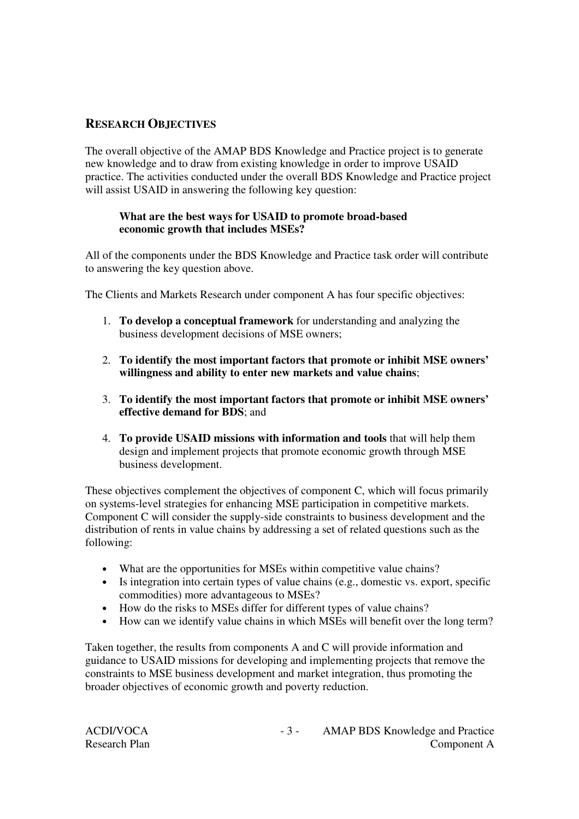# **RESEARCH OBJECTIVES**

The overall objective of the AMAP BDS Knowledge and Practice project is to generate new knowledge and to draw from existing knowledge in order to improve USAID practice. The activities conducted under the overall BDS Knowledge and Practice project will assist USAID in answering the following key question:

#### **What are the best ways for USAID to promote broad-based economic growth that includes MSEs?**

All of the components under the BDS Knowledge and Practice task order will contribute to answering the key question above.

The Clients and Markets Research under component A has four specific objectives:

- 1. **To develop a conceptual framework** for understanding and analyzing the business development decisions of MSE owners;
- 2. **To identify the most important factors that promote or inhibit MSE owners' willingness and ability to enter new markets and value chains**;
- 3. **To identify the most important factors that promote or inhibit MSE owners' effective demand for BDS**; and
- 4. **To provide USAID missions with information and tools** that will help them design and implement projects that promote economic growth through MSE business development.

These objectives complement the objectives of component C, which will focus primarily on systems-level strategies for enhancing MSE participation in competitive markets. Component C will consider the supply-side constraints to business development and the distribution of rents in value chains by addressing a set of related questions such as the following:

- What are the opportunities for MSEs within competitive value chains?
- Is integration into certain types of value chains (e.g., domestic vs. export, specific commodities) more advantageous to MSEs?
- How do the risks to MSEs differ for different types of value chains?
- How can we identify value chains in which MSEs will benefit over the long term?

Taken together, the results from components A and C will provide information and guidance to USAID missions for developing and implementing projects that remove the constraints to MSE business development and market integration, thus promoting the broader objectives of economic growth and poverty reduction.

| ACDI/VOCA            |
|----------------------|
| <b>Research Plan</b> |

- 3 - AMAP BDS Knowledge and Practice Component A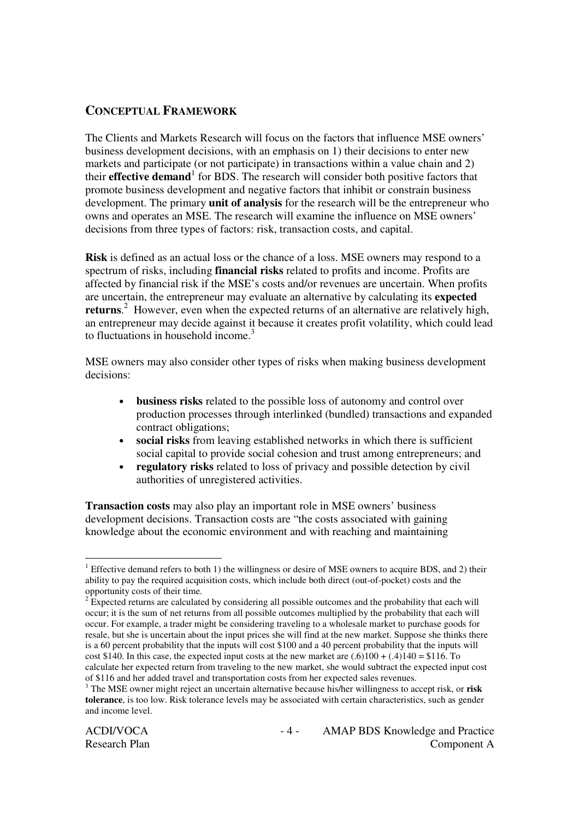## **CONCEPTUAL FRAMEWORK**

The Clients and Markets Research will focus on the factors that influence MSE owners' business development decisions, with an emphasis on 1) their decisions to enter new markets and participate (or not participate) in transactions within a value chain and 2) their **effective demand** 1 for BDS. The research will consider both positive factors that promote business development and negative factors that inhibit or constrain business development. The primary **unit of analysis** for the research will be the entrepreneur who owns and operates an MSE. The research will examine the influence on MSE owners' decisions from three types of factors: risk, transaction costs, and capital.

**Risk** is defined as an actual loss or the chance of a loss. MSE owners may respond to a spectrum of risks, including **financial risks** related to profits and income. Profits are affected by financial risk if the MSE's costs and/or revenues are uncertain. When profits are uncertain, the entrepreneur may evaluate an alternative by calculating its **expected returns**. <sup>2</sup> However, even when the expected returns of an alternative are relatively high, an entrepreneur may decide against it because it creates profit volatility, which could lead to fluctuations in household income. 3

MSE owners may also consider other types of risks when making business development decisions:

- **business risks** related to the possible loss of autonomy and control over production processes through interlinked (bundled) transactions and expanded contract obligations;
- **social risks** from leaving established networks in which there is sufficient social capital to provide social cohesion and trust among entrepreneurs; and
- **regulatory risks** related to loss of privacy and possible detection by civil authorities of unregistered activities.

**Transaction costs** may also play an important role in MSE owners' business development decisions. Transaction costs are "the costs associated with gaining knowledge about the economic environment and with reaching and maintaining

<sup>&</sup>lt;sup>1</sup> Effective demand refers to both 1) the willingness or desire of MSE owners to acquire BDS, and 2) their ability to pay the required acquisition costs, which include both direct (out-of-pocket) costs and the opportunity costs of their time.

<sup>&</sup>lt;sup>2</sup> Expected returns are calculated by considering all possible outcomes and the probability that each will occur; it is the sum of net returns from all possible outcomes multiplied by the probability that each will occur. For example, a trader might be considering traveling to a wholesale market to purchase goods for resale, but she is uncertain about the input prices she will find at the new market. Suppose she thinks there is a 60 percent probability that the inputs will cost \$100 and a 40 percent probability that the inputs will cost \$140. In this case, the expected input costs at the new market are  $(.6)100 + (.4)140 = $116$ . To calculate her expected return from traveling to the new market, she would subtract the expected input cost of \$116 and her added travel and transportation costs from her expected sales revenues.

<sup>3</sup> The MSE owner might reject an uncertain alternative because his/her willingness to accept risk, or **risk tolerance**, is too low. Risk tolerance levels may be associated with certain characteristics, such as gender and income level.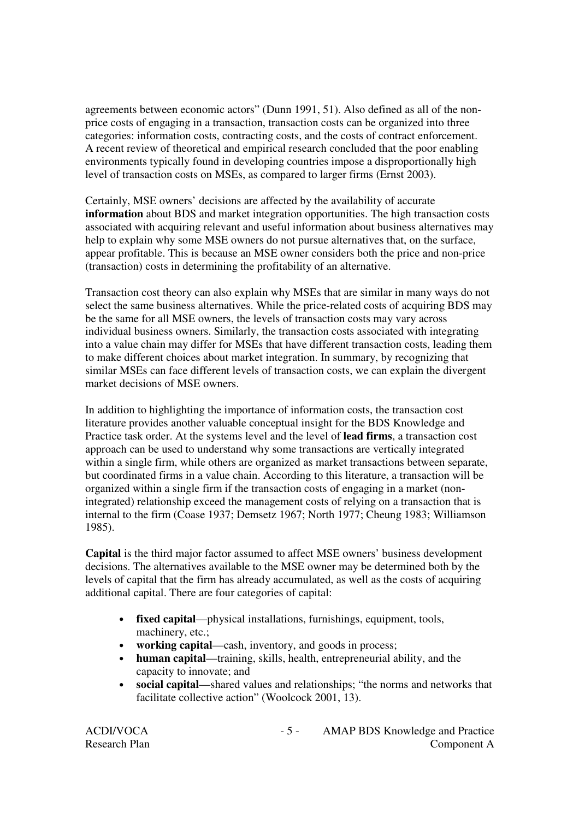agreements between economic actors" (Dunn 1991, 51). Also defined as all of the nonprice costs of engaging in a transaction, transaction costs can be organized into three categories: information costs, contracting costs, and the costs of contract enforcement. A recent review of theoretical and empirical research concluded that the poor enabling environments typically found in developing countries impose a disproportionally high level of transaction costs on MSEs, as compared to larger firms (Ernst 2003).

Certainly, MSE owners' decisions are affected by the availability of accurate **information** about BDS and market integration opportunities. The high transaction costs associated with acquiring relevant and useful information about business alternatives may help to explain why some MSE owners do not pursue alternatives that, on the surface, appear profitable. This is because an MSE owner considers both the price and non-price (transaction) costs in determining the profitability of an alternative.

Transaction cost theory can also explain why MSEs that are similar in many ways do not select the same business alternatives. While the price-related costs of acquiring BDS may be the same for all MSE owners, the levels of transaction costs may vary across individual business owners. Similarly, the transaction costs associated with integrating into a value chain may differ for MSEs that have different transaction costs, leading them to make different choices about market integration. In summary, by recognizing that similar MSEs can face different levels of transaction costs, we can explain the divergent market decisions of MSE owners.

In addition to highlighting the importance of information costs, the transaction cost literature provides another valuable conceptual insight for the BDS Knowledge and Practice task order. At the systems level and the level of **lead firms**, a transaction cost approach can be used to understand why some transactions are vertically integrated within a single firm, while others are organized as market transactions between separate, but coordinated firms in a value chain. According to this literature, a transaction will be organized within a single firm if the transaction costs of engaging in a market (nonintegrated) relationship exceed the management costs of relying on a transaction that is internal to the firm (Coase 1937; Demsetz 1967; North 1977; Cheung 1983; Williamson 1985).

**Capital** is the third major factor assumed to affect MSE owners' business development decisions. The alternatives available to the MSE owner may be determined both by the levels of capital that the firm has already accumulated, as well as the costs of acquiring additional capital. There are four categories of capital:

- **fixed capital**—physical installations, furnishings, equipment, tools, machinery, etc.;
- **working capital**—cash, inventory, and goods in process;
- **human capital**—training, skills, health, entrepreneurial ability, and the capacity to innovate; and
- **social capital**—shared values and relationships; "the norms and networks that facilitate collective action" (Woolcock 2001, 13).

ACDI/VOCA - 5 - AMAP BDS Knowledge and Practice Research Plan Component A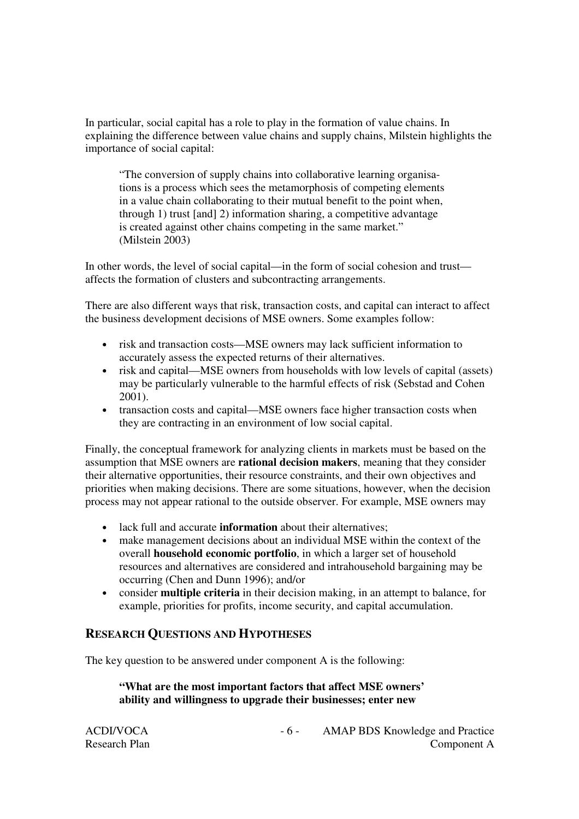In particular, social capital has a role to play in the formation of value chains. In explaining the difference between value chains and supply chains, Milstein highlights the importance of social capital:

"The conversion of supply chains into collaborative learning organisations is a process which sees the metamorphosis of competing elements in a value chain collaborating to their mutual benefit to the point when, through 1) trust [and] 2) information sharing, a competitive advantage is created against other chains competing in the same market." (Milstein 2003)

In other words, the level of social capital—in the form of social cohesion and trust affects the formation of clusters and subcontracting arrangements.

There are also different ways that risk, transaction costs, and capital can interact to affect the business development decisions of MSE owners. Some examples follow:

- risk and transaction costs—MSE owners may lack sufficient information to accurately assess the expected returns of their alternatives.
- risk and capital—MSE owners from households with low levels of capital (assets) may be particularly vulnerable to the harmful effects of risk (Sebstad and Cohen 2001).
- transaction costs and capital—MSE owners face higher transaction costs when they are contracting in an environment of low social capital.

Finally, the conceptual framework for analyzing clients in markets must be based on the assumption that MSE owners are **rational decision makers**, meaning that they consider their alternative opportunities, their resource constraints, and their own objectives and priorities when making decisions. There are some situations, however, when the decision process may not appear rational to the outside observer. For example, MSE owners may

- lack full and accurate **information** about their alternatives;
- make management decisions about an individual MSE within the context of the overall **household economic portfolio**, in which a larger set of household resources and alternatives are considered and intrahousehold bargaining may be occurring (Chen and Dunn 1996); and/or
- consider **multiple criteria** in their decision making, in an attempt to balance, for example, priorities for profits, income security, and capital accumulation.

#### **RESEARCH QUESTIONS AND HYPOTHESES**

The key question to be answered under component A is the following:

#### **"What are the most important factors that affect MSE owners' ability and willingness to upgrade their businesses; enter new**

| ACDI/VOCA            |
|----------------------|
| <b>Research Plan</b> |

- 6 - AMAP BDS Knowledge and Practice Component A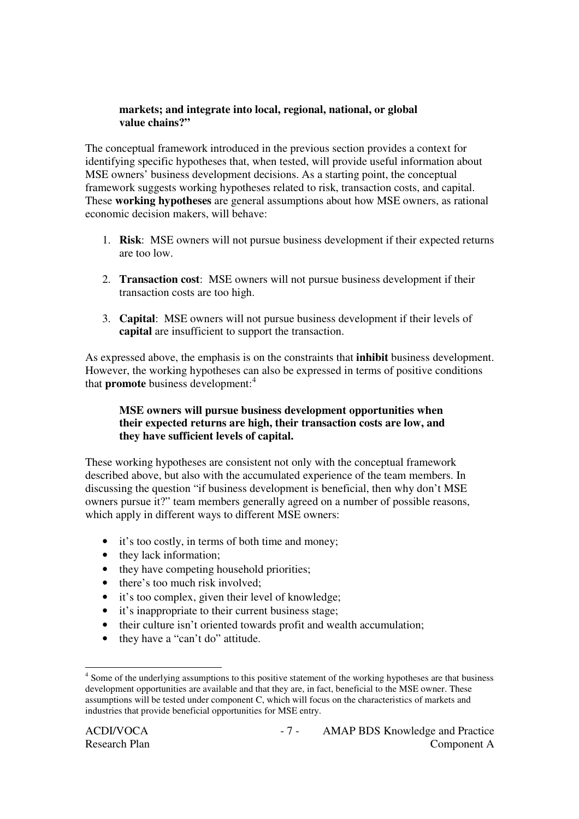#### **markets; and integrate into local, regional, national, or global value chains?"**

The conceptual framework introduced in the previous section provides a context for identifying specific hypotheses that, when tested, will provide useful information about MSE owners' business development decisions. As a starting point, the conceptual framework suggests working hypotheses related to risk, transaction costs, and capital. These **working hypotheses** are general assumptions about how MSE owners, as rational economic decision makers, will behave:

- 1. **Risk**: MSE owners will not pursue business development if their expected returns are too low.
- 2. **Transaction cost**: MSE owners will not pursue business development if their transaction costs are too high.
- 3. **Capital**: MSE owners will not pursue business development if their levels of **capital** are insufficient to support the transaction.

As expressed above, the emphasis is on the constraints that **inhibit** business development. However, the working hypotheses can also be expressed in terms of positive conditions that **promote** business development: 4

#### **MSE owners will pursue business development opportunities when their expected returns are high, their transaction costs are low, and they have sufficient levels of capital.**

These working hypotheses are consistent not only with the conceptual framework described above, but also with the accumulated experience of the team members. In discussing the question "if business development is beneficial, then why don't MSE owners pursue it?" team members generally agreed on a number of possible reasons, which apply in different ways to different MSE owners:

- it's too costly, in terms of both time and money;
- they lack information;
- they have competing household priorities;
- there's too much risk involved;
- it's too complex, given their level of knowledge;
- it's inappropriate to their current business stage;
- their culture isn't oriented towards profit and wealth accumulation;
- they have a "can't do" attitude.

<sup>&</sup>lt;sup>4</sup> Some of the underlying assumptions to this positive statement of the working hypotheses are that business development opportunities are available and that they are, in fact, beneficial to the MSE owner. These assumptions will be tested under component C, which will focus on the characteristics of markets and industries that provide beneficial opportunities for MSE entry.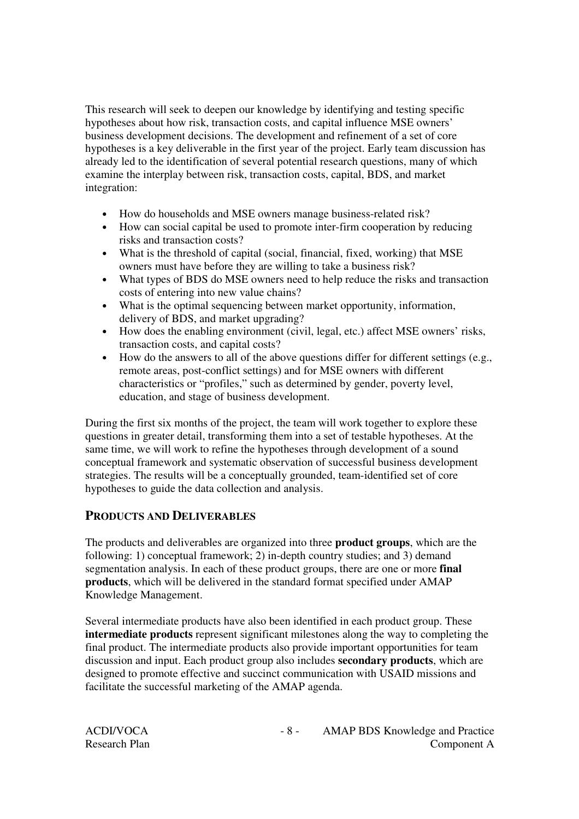This research will seek to deepen our knowledge by identifying and testing specific hypotheses about how risk, transaction costs, and capital influence MSE owners' business development decisions. The development and refinement of a set of core hypotheses is a key deliverable in the first year of the project. Early team discussion has already led to the identification of several potential research questions, many of which examine the interplay between risk, transaction costs, capital, BDS, and market integration:

- How do households and MSE owners manage business-related risk?
- How can social capital be used to promote inter-firm cooperation by reducing risks and transaction costs?
- What is the threshold of capital (social, financial, fixed, working) that MSE owners must have before they are willing to take a business risk?
- What types of BDS do MSE owners need to help reduce the risks and transaction costs of entering into new value chains?
- What is the optimal sequencing between market opportunity, information, delivery of BDS, and market upgrading?
- How does the enabling environment (civil, legal, etc.) affect MSE owners' risks, transaction costs, and capital costs?
- How do the answers to all of the above questions differ for different settings (e.g., remote areas, post-conflict settings) and for MSE owners with different characteristics or "profiles," such as determined by gender, poverty level, education, and stage of business development.

During the first six months of the project, the team will work together to explore these questions in greater detail, transforming them into a set of testable hypotheses. At the same time, we will work to refine the hypotheses through development of a sound conceptual framework and systematic observation of successful business development strategies. The results will be a conceptually grounded, team-identified set of core hypotheses to guide the data collection and analysis.

## **PRODUCTS AND DELIVERABLES**

The products and deliverables are organized into three **product groups**, which are the following: 1) conceptual framework; 2) in-depth country studies; and 3) demand segmentation analysis. In each of these product groups, there are one or more **final products**, which will be delivered in the standard format specified under AMAP Knowledge Management.

Several intermediate products have also been identified in each product group. These **intermediate products** represent significant milestones along the way to completing the final product. The intermediate products also provide important opportunities for team discussion and input. Each product group also includes **secondary products**, which are designed to promote effective and succinct communication with USAID missions and facilitate the successful marketing of the AMAP agenda.

| ACDI/VOCA            |
|----------------------|
| <b>Research Plan</b> |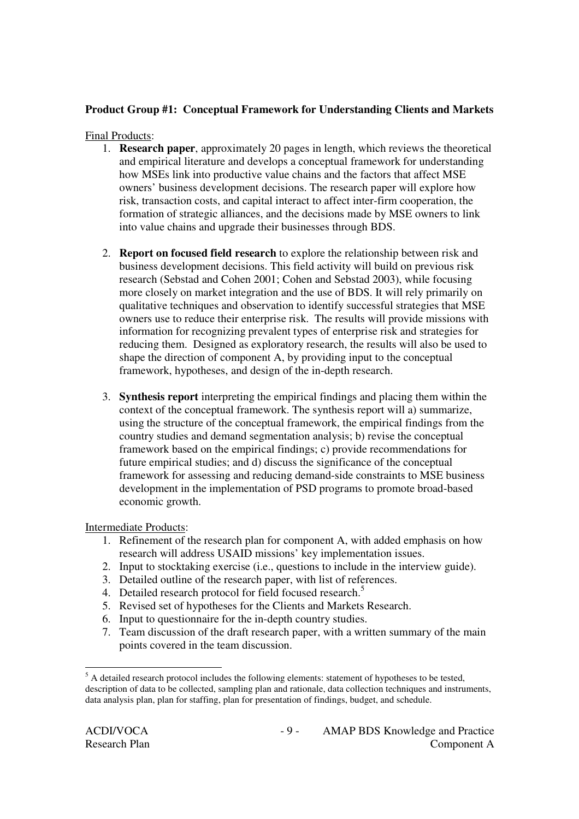## **Product Group #1: Conceptual Framework for Understanding Clients and Markets**

#### Final Products:

- 1. **Research paper**, approximately 20 pages in length, which reviews the theoretical and empirical literature and develops a conceptual framework for understanding how MSEs link into productive value chains and the factors that affect MSE owners' business development decisions. The research paper will explore how risk, transaction costs, and capital interact to affect inter-firm cooperation, the formation of strategic alliances, and the decisions made by MSE owners to link into value chains and upgrade their businesses through BDS.
- 2. **Report on focused field research** to explore the relationship between risk and business development decisions. This field activity will build on previous risk research (Sebstad and Cohen 2001; Cohen and Sebstad 2003), while focusing more closely on market integration and the use of BDS. It will rely primarily on qualitative techniques and observation to identify successful strategies that MSE owners use to reduce their enterprise risk. The results will provide missions with information for recognizing prevalent types of enterprise risk and strategies for reducing them. Designed as exploratory research, the results will also be used to shape the direction of component A, by providing input to the conceptual framework, hypotheses, and design of the in-depth research.
- 3. **Synthesis report** interpreting the empirical findings and placing them within the context of the conceptual framework. The synthesis report will a) summarize, using the structure of the conceptual framework, the empirical findings from the country studies and demand segmentation analysis; b) revise the conceptual framework based on the empirical findings; c) provide recommendations for future empirical studies; and d) discuss the significance of the conceptual framework for assessing and reducing demand-side constraints to MSE business development in the implementation of PSD programs to promote broad-based economic growth.

#### Intermediate Products:

- 1. Refinement of the research plan for component A, with added emphasis on how research will address USAID missions' key implementation issues.
- 2. Input to stocktaking exercise (i.e., questions to include in the interview guide).
- 3. Detailed outline of the research paper, with list of references.
- 4. Detailed research protocol for field focused research.<sup>5</sup>
- 5. Revised set of hypotheses for the Clients and Markets Research.
- 6. Input to questionnaire for the in-depth country studies.
- 7. Team discussion of the draft research paper, with a written summary of the main points covered in the team discussion.

 $<sup>5</sup>$  A detailed research protocol includes the following elements: statement of hypotheses to be tested,</sup> description of data to be collected, sampling plan and rationale, data collection techniques and instruments, data analysis plan, plan for staffing, plan for presentation of findings, budget, and schedule.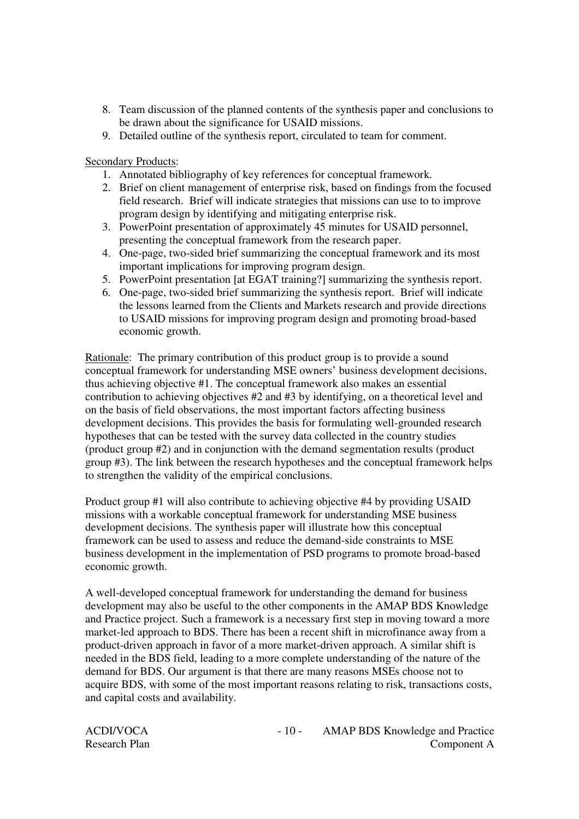- 8. Team discussion of the planned contents of the synthesis paper and conclusions to be drawn about the significance for USAID missions.
- 9. Detailed outline of the synthesis report, circulated to team for comment.

Secondary Products:

- 1. Annotated bibliography of key references for conceptual framework.
- 2. Brief on client management of enterprise risk, based on findings from the focused field research. Brief will indicate strategies that missions can use to to improve program design by identifying and mitigating enterprise risk.
- 3. PowerPoint presentation of approximately 45 minutes for USAID personnel, presenting the conceptual framework from the research paper.
- 4. One-page, two-sided brief summarizing the conceptual framework and its most important implications for improving program design.
- 5. PowerPoint presentation [at EGAT training?] summarizing the synthesis report.
- 6. One-page, two-sided brief summarizing the synthesis report. Brief will indicate the lessons learned from the Clients and Markets research and provide directions to USAID missions for improving program design and promoting broad-based economic growth.

Rationale: The primary contribution of this product group is to provide a sound conceptual framework for understanding MSE owners' business development decisions, thus achieving objective #1. The conceptual framework also makes an essential contribution to achieving objectives #2 and #3 by identifying, on a theoretical level and on the basis of field observations, the most important factors affecting business development decisions. This provides the basis for formulating well-grounded research hypotheses that can be tested with the survey data collected in the country studies (product group #2) and in conjunction with the demand segmentation results (product group #3). The link between the research hypotheses and the conceptual framework helps to strengthen the validity of the empirical conclusions.

Product group #1 will also contribute to achieving objective #4 by providing USAID missions with a workable conceptual framework for understanding MSE business development decisions. The synthesis paper will illustrate how this conceptual framework can be used to assess and reduce the demand-side constraints to MSE business development in the implementation of PSD programs to promote broad-based economic growth.

A well-developed conceptual framework for understanding the demand for business development may also be useful to the other components in the AMAP BDS Knowledge and Practice project. Such a framework is a necessary first step in moving toward a more market-led approach to BDS. There has been a recent shift in microfinance away from a product-driven approach in favor of a more market-driven approach. A similar shift is needed in the BDS field, leading to a more complete understanding of the nature of the demand for BDS. Our argument is that there are many reasons MSEs choose not to acquire BDS, with some of the most important reasons relating to risk, transactions costs, and capital costs and availability.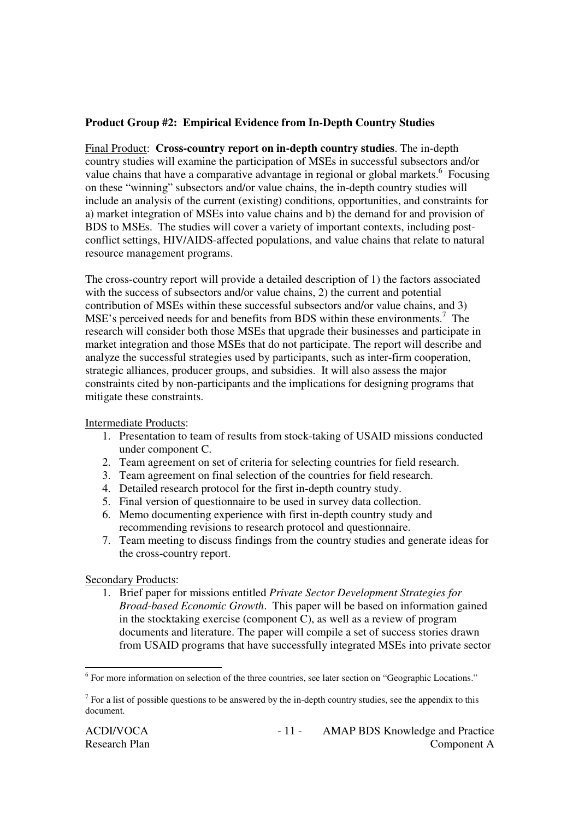#### **Product Group #2: Empirical Evidence from In-Depth Country Studies**

Final Product: **Cross-country report on in-depth country studies**. The in-depth country studies will examine the participation of MSEs in successful subsectors and/or value chains that have a comparative advantage in regional or global markets.<sup>6</sup> Focusing on these "winning" subsectors and/or value chains, the in-depth country studies will include an analysis of the current (existing) conditions, opportunities, and constraints for a) market integration of MSEs into value chains and b) the demand for and provision of BDS to MSEs. The studies will cover a variety of important contexts, including postconflict settings, HIV/AIDS-affected populations, and value chains that relate to natural resource management programs.

The cross-country report will provide a detailed description of 1) the factors associated with the success of subsectors and/or value chains, 2) the current and potential contribution of MSEs within these successful subsectors and/or value chains, and 3) MSE's perceived needs for and benefits from BDS within these environments.<sup>7</sup> The research will consider both those MSEs that upgrade their businesses and participate in market integration and those MSEs that do not participate. The report will describe and analyze the successful strategies used by participants, such as inter-firm cooperation, strategic alliances, producer groups, and subsidies. It will also assess the major constraints cited by non-participants and the implications for designing programs that mitigate these constraints.

Intermediate Products:

- 1. Presentation to team of results from stock-taking of USAID missions conducted under component C.
- 2. Team agreement on set of criteria for selecting countries for field research.
- 3. Team agreement on final selection of the countries for field research.
- 4. Detailed research protocol for the first in-depth country study.
- 5. Final version of questionnaire to be used in survey data collection.
- 6. Memo documenting experience with first in-depth country study and recommending revisions to research protocol and questionnaire.
- 7. Team meeting to discuss findings from the country studies and generate ideas for the cross-country report.

Secondary Products:

1. Brief paper for missions entitled *Private Sector Development Strategies for Broad-based Economic Growth*. This paper will be based on information gained in the stocktaking exercise (component C), as well as a review of program documents and literature. The paper will compile a set of success stories drawn from USAID programs that have successfully integrated MSEs into private sector

<sup>&</sup>lt;sup>6</sup> For more information on selection of the three countries, see later section on "Geographic Locations."

 $<sup>7</sup>$  For a list of possible questions to be answered by the in-depth country studies, see the appendix to this</sup> document.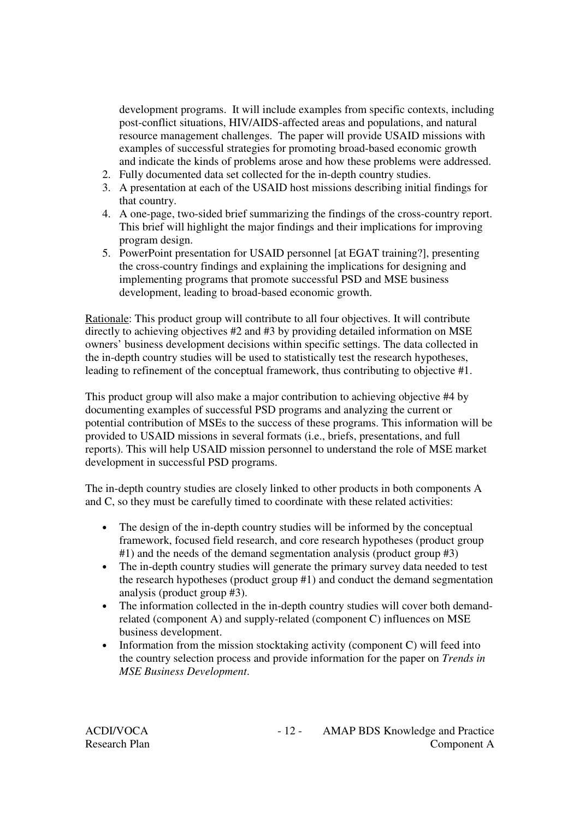development programs. It will include examples from specific contexts, including post-conflict situations, HIV/AIDS-affected areas and populations, and natural resource management challenges. The paper will provide USAID missions with examples of successful strategies for promoting broad-based economic growth and indicate the kinds of problems arose and how these problems were addressed.

- 2. Fully documented data set collected for the in-depth country studies.
- 3. A presentation at each of the USAID host missions describing initial findings for that country.
- 4. A one-page, two-sided brief summarizing the findings of the cross-country report. This brief will highlight the major findings and their implications for improving program design.
- 5. PowerPoint presentation for USAID personnel [at EGAT training?], presenting the cross-country findings and explaining the implications for designing and implementing programs that promote successful PSD and MSE business development, leading to broad-based economic growth.

Rationale: This product group will contribute to all four objectives. It will contribute directly to achieving objectives #2 and #3 by providing detailed information on MSE owners' business development decisions within specific settings. The data collected in the in-depth country studies will be used to statistically test the research hypotheses, leading to refinement of the conceptual framework, thus contributing to objective #1.

This product group will also make a major contribution to achieving objective #4 by documenting examples of successful PSD programs and analyzing the current or potential contribution of MSEs to the success of these programs. This information will be provided to USAID missions in several formats (i.e., briefs, presentations, and full reports). This will help USAID mission personnel to understand the role of MSE market development in successful PSD programs.

The in-depth country studies are closely linked to other products in both components A and C, so they must be carefully timed to coordinate with these related activities:

- The design of the in-depth country studies will be informed by the conceptual framework, focused field research, and core research hypotheses (product group #1) and the needs of the demand segmentation analysis (product group #3)
- The in-depth country studies will generate the primary survey data needed to test the research hypotheses (product group #1) and conduct the demand segmentation analysis (product group #3).
- The information collected in the in-depth country studies will cover both demandrelated (component A) and supply-related (component C) influences on MSE business development.
- Information from the mission stocktaking activity (component C) will feed into the country selection process and provide information for the paper on *Trends in MSE Business Development*.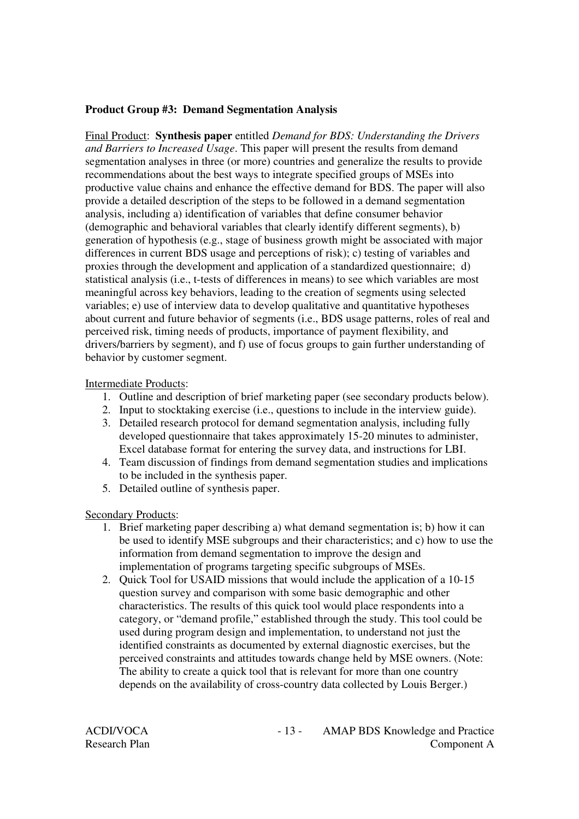#### **Product Group #3: Demand Segmentation Analysis**

Final Product: **Synthesis paper** entitled *Demand for BDS: Understanding the Drivers and Barriers to Increased Usage*. This paper will present the results from demand segmentation analyses in three (or more) countries and generalize the results to provide recommendations about the best ways to integrate specified groups of MSEs into productive value chains and enhance the effective demand for BDS. The paper will also provide a detailed description of the steps to be followed in a demand segmentation analysis, including a) identification of variables that define consumer behavior (demographic and behavioral variables that clearly identify different segments), b) generation of hypothesis (e.g., stage of business growth might be associated with major differences in current BDS usage and perceptions of risk); c) testing of variables and proxies through the development and application of a standardized questionnaire; d) statistical analysis (i.e., t-tests of differences in means) to see which variables are most meaningful across key behaviors, leading to the creation of segments using selected variables; e) use of interview data to develop qualitative and quantitative hypotheses about current and future behavior of segments (i.e., BDS usage patterns, roles of real and perceived risk, timing needs of products, importance of payment flexibility, and drivers/barriers by segment), and f) use of focus groups to gain further understanding of behavior by customer segment.

#### Intermediate Products:

- 1. Outline and description of brief marketing paper (see secondary products below).
- 2. Input to stocktaking exercise (i.e., questions to include in the interview guide).
- 3. Detailed research protocol for demand segmentation analysis, including fully developed questionnaire that takes approximately 15-20 minutes to administer, Excel database format for entering the survey data, and instructions for LBI.
- 4. Team discussion of findings from demand segmentation studies and implications to be included in the synthesis paper.
- 5. Detailed outline of synthesis paper.

Secondary Products:

- 1. Brief marketing paper describing a) what demand segmentation is; b) how it can be used to identify MSE subgroups and their characteristics; and c) how to use the information from demand segmentation to improve the design and implementation of programs targeting specific subgroups of MSEs.
- 2. Quick Tool for USAID missions that would include the application of a 10-15 question survey and comparison with some basic demographic and other characteristics. The results of this quick tool would place respondents into a category, or "demand profile," established through the study. This tool could be used during program design and implementation, to understand not just the identified constraints as documented by external diagnostic exercises, but the perceived constraints and attitudes towards change held by MSE owners. (Note: The ability to create a quick tool that is relevant for more than one country depends on the availability of cross-country data collected by Louis Berger.)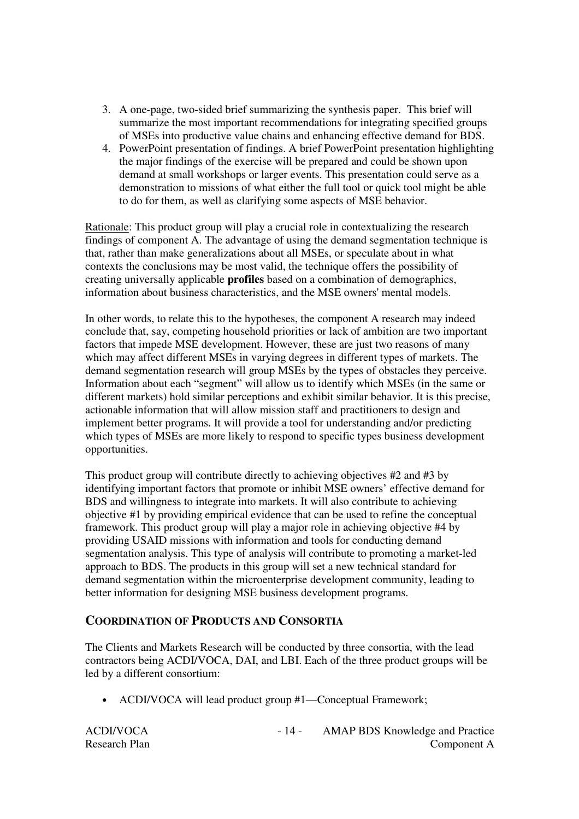- 3. A one-page, two-sided brief summarizing the synthesis paper. This brief will summarize the most important recommendations for integrating specified groups of MSEs into productive value chains and enhancing effective demand for BDS.
- 4. PowerPoint presentation of findings. A brief PowerPoint presentation highlighting the major findings of the exercise will be prepared and could be shown upon demand at small workshops or larger events. This presentation could serve as a demonstration to missions of what either the full tool or quick tool might be able to do for them, as well as clarifying some aspects of MSE behavior.

Rationale: This product group will play a crucial role in contextualizing the research findings of component A. The advantage of using the demand segmentation technique is that, rather than make generalizations about all MSEs, or speculate about in what contexts the conclusions may be most valid, the technique offers the possibility of creating universally applicable **profiles** based on a combination of demographics, information about business characteristics, and the MSE owners'mental models.

In other words, to relate this to the hypotheses, the component A research may indeed conclude that, say, competing household priorities or lack of ambition are two important factors that impede MSE development. However, these are just two reasons of many which may affect different MSEs in varying degrees in different types of markets. The demand segmentation research will group MSEs by the types of obstacles they perceive. Information about each "segment" will allow us to identify which MSEs (in the same or different markets) hold similar perceptions and exhibit similar behavior. It is this precise, actionable information that will allow mission staff and practitioners to design and implement better programs. It will provide a tool for understanding and/or predicting which types of MSEs are more likely to respond to specific types business development opportunities.

This product group will contribute directly to achieving objectives #2 and #3 by identifying important factors that promote or inhibit MSE owners' effective demand for BDS and willingness to integrate into markets. It will also contribute to achieving objective #1 by providing empirical evidence that can be used to refine the conceptual framework. This product group will play a major role in achieving objective #4 by providing USAID missions with information and tools for conducting demand segmentation analysis. This type of analysis will contribute to promoting a market-led approach to BDS. The products in this group will set a new technical standard for demand segmentation within the microenterprise development community, leading to better information for designing MSE business development programs.

#### **COORDINATION OF PRODUCTS AND CONSORTIA**

The Clients and Markets Research will be conducted by three consortia, with the lead contractors being ACDI/VOCA, DAI, and LBI. Each of the three product groups will be led by a different consortium:

• ACDI/VOCA will lead product group #1—Conceptual Framework;

| <b>ACDI/VOCA</b> | <b>AMAP BDS Knowledge and Practice</b> |
|------------------|----------------------------------------|
| Research Plan    | Component A                            |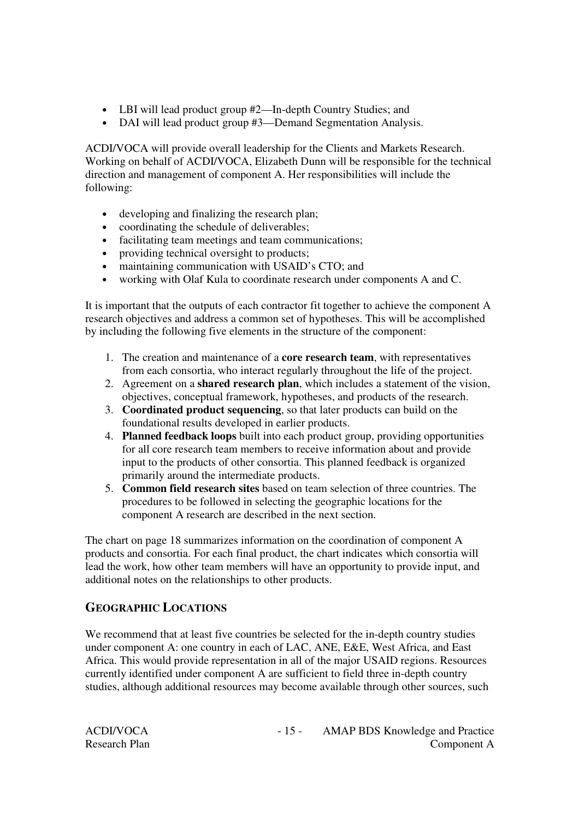- LBI will lead product group #2—In-depth Country Studies; and
- DAI will lead product group #3—Demand Segmentation Analysis.

ACDI/VOCA will provide overall leadership for the Clients and Markets Research. Working on behalf of ACDI/VOCA, Elizabeth Dunn will be responsible for the technical direction and management of component A. Her responsibilities will include the following:

- developing and finalizing the research plan;
- coordinating the schedule of deliverables;
- facilitating team meetings and team communications;
- providing technical oversight to products;
- maintaining communication with USAID's CTO; and
- working with Olaf Kula to coordinate research under components A and C.

It is important that the outputs of each contractor fit together to achieve the component A research objectives and address a common set of hypotheses. This will be accomplished by including the following five elements in the structure of the component:

- 1. The creation and maintenance of a **core research team**, with representatives from each consortia, who interact regularly throughout the life of the project.
- 2. Agreement on a **shared research plan**, which includes a statement of the vision, objectives, conceptual framework, hypotheses, and products of the research.
- 3. **Coordinated product sequencing**, so that later products can build on the foundational results developed in earlier products.
- 4. **Planned feedback loops** built into each product group, providing opportunities for all core research team members to receive information about and provide input to the products of other consortia. This planned feedback is organized primarily around the intermediate products.
- 5. **Common field research sites** based on team selection of three countries. The procedures to be followed in selecting the geographic locations for the component A research are described in the next section.

The chart on page 18 summarizes information on the coordination of component A products and consortia. For each final product, the chart indicates which consortia will lead the work, how other team members will have an opportunity to provide input, and additional notes on the relationships to other products.

# **GEOGRAPHIC LOCATIONS**

We recommend that at least five countries be selected for the in-depth country studies under component A: one country in each of LAC, ANE, E&E, West Africa, and East Africa. This would provide representation in all of the major USAID regions. Resources currently identified under component A are sufficient to field three in-depth country studies, although additional resources may become available through other sources, such

| ACDI/VOCA            |  |
|----------------------|--|
| <b>Research Plan</b> |  |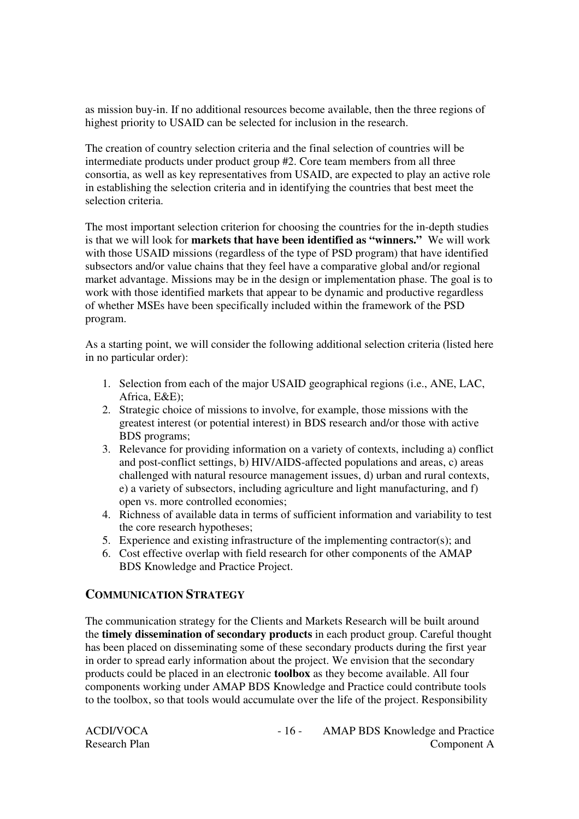as mission buy-in. If no additional resources become available, then the three regions of highest priority to USAID can be selected for inclusion in the research.

The creation of country selection criteria and the final selection of countries will be intermediate products under product group #2. Core team members from all three consortia, as well as key representatives from USAID, are expected to play an active role in establishing the selection criteria and in identifying the countries that best meet the selection criteria.

The most important selection criterion for choosing the countries for the in-depth studies is that we will look for **markets that have been identified as "winners."** We will work with those USAID missions (regardless of the type of PSD program) that have identified subsectors and/or value chains that they feel have a comparative global and/or regional market advantage. Missions may be in the design or implementation phase. The goal is to work with those identified markets that appear to be dynamic and productive regardless of whether MSEs have been specifically included within the framework of the PSD program.

As a starting point, we will consider the following additional selection criteria (listed here in no particular order):

- 1. Selection from each of the major USAID geographical regions (i.e., ANE, LAC, Africa, E&E);
- 2. Strategic choice of missions to involve, for example, those missions with the greatest interest (or potential interest) in BDS research and/or those with active BDS programs;
- 3. Relevance for providing information on a variety of contexts, including a) conflict and post-conflict settings, b) HIV/AIDS-affected populations and areas, c) areas challenged with natural resource management issues, d) urban and rural contexts, e) a variety of subsectors, including agriculture and light manufacturing, and f) open vs. more controlled economies;
- 4. Richness of available data in terms of sufficient information and variability to test the core research hypotheses;
- 5. Experience and existing infrastructure of the implementing contractor(s); and
- 6. Cost effective overlap with field research for other components of the AMAP BDS Knowledge and Practice Project.

#### **COMMUNICATION STRATEGY**

The communication strategy for the Clients and Markets Research will be built around the **timely dissemination of secondary products** in each product group. Careful thought has been placed on disseminating some of these secondary products during the first year in order to spread early information about the project. We envision that the secondary products could be placed in an electronic **toolbox** as they become available. All four components working under AMAP BDS Knowledge and Practice could contribute tools to the toolbox, so that tools would accumulate over the life of the project. Responsibility

| ACDI/VOCA            |
|----------------------|
| <b>Research Plan</b> |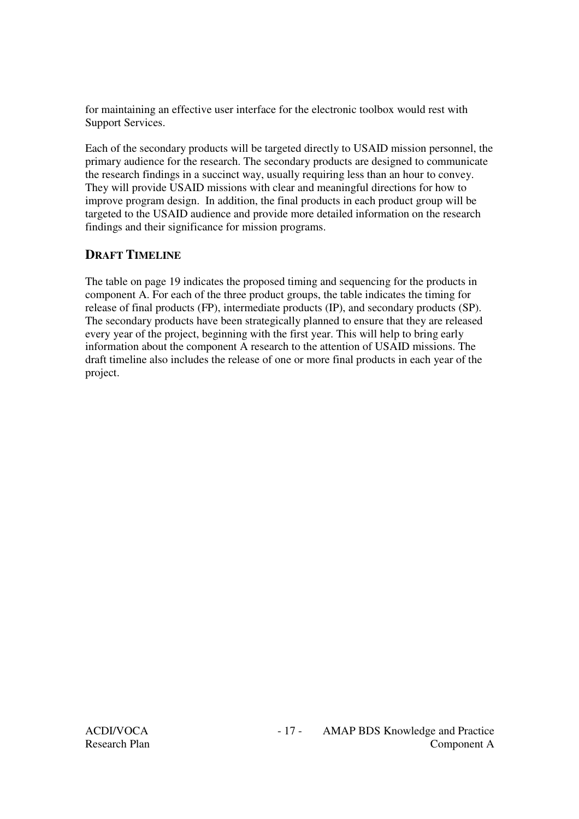for maintaining an effective user interface for the electronic toolbox would rest with Support Services.

Each of the secondary products will be targeted directly to USAID mission personnel, the primary audience for the research. The secondary products are designed to communicate the research findings in a succinct way, usually requiring less than an hour to convey. They will provide USAID missions with clear and meaningful directions for how to improve program design. In addition, the final products in each product group will be targeted to the USAID audience and provide more detailed information on the research findings and their significance for mission programs.

# **DRAFT TIMELINE**

The table on page 19 indicates the proposed timing and sequencing for the products in component A. For each of the three product groups, the table indicates the timing for release of final products (FP), intermediate products (IP), and secondary products (SP). The secondary products have been strategically planned to ensure that they are released every year of the project, beginning with the first year. This will help to bring early information about the component A research to the attention of USAID missions. The draft timeline also includes the release of one or more final products in each year of the project.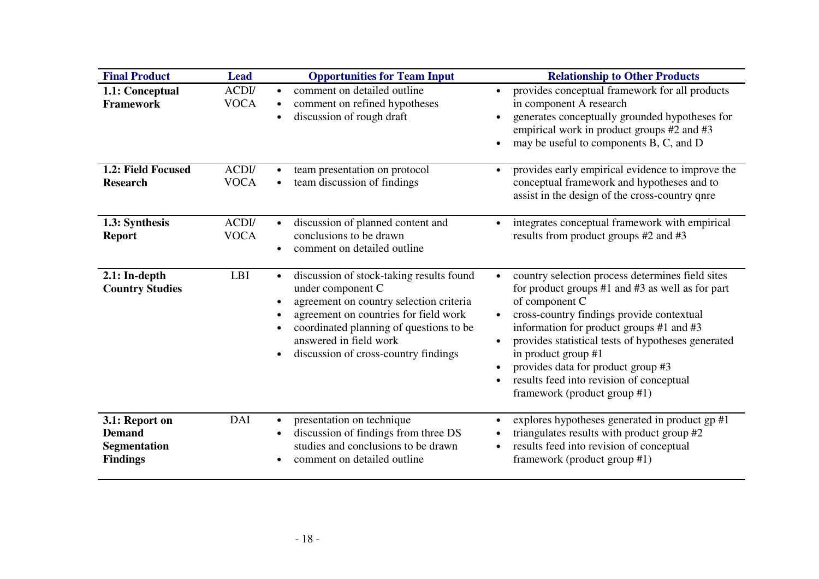| <b>Final Product</b>                                                      | <b>Lead</b>          | <b>Opportunities for Team Input</b>                                                                                                                                                                                                                                         | <b>Relationship to Other Products</b>                                                                                                                                                                                                                                                                                                                                                                                       |
|---------------------------------------------------------------------------|----------------------|-----------------------------------------------------------------------------------------------------------------------------------------------------------------------------------------------------------------------------------------------------------------------------|-----------------------------------------------------------------------------------------------------------------------------------------------------------------------------------------------------------------------------------------------------------------------------------------------------------------------------------------------------------------------------------------------------------------------------|
| 1.1: Conceptual<br><b>Framework</b>                                       | ACDI/<br><b>VOCA</b> | comment on detailed outline<br>$\bullet$<br>comment on refined hypotheses<br>discussion of rough draft<br>$\bullet$                                                                                                                                                         | provides conceptual framework for all products<br>in component A research<br>generates conceptually grounded hypotheses for<br>empirical work in product groups #2 and #3<br>may be useful to components B, C, and D                                                                                                                                                                                                        |
| 1.2: Field Focused<br><b>Research</b>                                     | ACDI/<br><b>VOCA</b> | team presentation on protocol<br>team discussion of findings                                                                                                                                                                                                                | provides early empirical evidence to improve the<br>$\bullet$<br>conceptual framework and hypotheses and to<br>assist in the design of the cross-country qnre                                                                                                                                                                                                                                                               |
| 1.3: Synthesis<br><b>Report</b>                                           | ACDI/<br><b>VOCA</b> | discussion of planned content and<br>conclusions to be drawn<br>comment on detailed outline<br>$\bullet$                                                                                                                                                                    | integrates conceptual framework with empirical<br>$\bullet$<br>results from product groups #2 and #3                                                                                                                                                                                                                                                                                                                        |
| $2.1:$ In-depth<br><b>Country Studies</b>                                 | <b>LBI</b>           | discussion of stock-taking results found<br>$\bullet$<br>under component C<br>agreement on country selection criteria<br>agreement on countries for field work<br>coordinated planning of questions to be<br>answered in field work<br>discussion of cross-country findings | country selection process determines field sites<br>for product groups #1 and #3 as well as for part<br>of component C<br>cross-country findings provide contextual<br>$\bullet$<br>information for product groups #1 and #3<br>provides statistical tests of hypotheses generated<br>in product group #1<br>provides data for product group #3<br>results feed into revision of conceptual<br>framework (product group #1) |
| 3.1: Report on<br><b>Demand</b><br><b>Segmentation</b><br><b>Findings</b> | DAI                  | presentation on technique<br>$\bullet$<br>discussion of findings from three DS<br>studies and conclusions to be drawn<br>comment on detailed outline                                                                                                                        | explores hypotheses generated in product gp #1<br>$\bullet$<br>triangulates results with product group #2<br>results feed into revision of conceptual<br>framework (product group #1)                                                                                                                                                                                                                                       |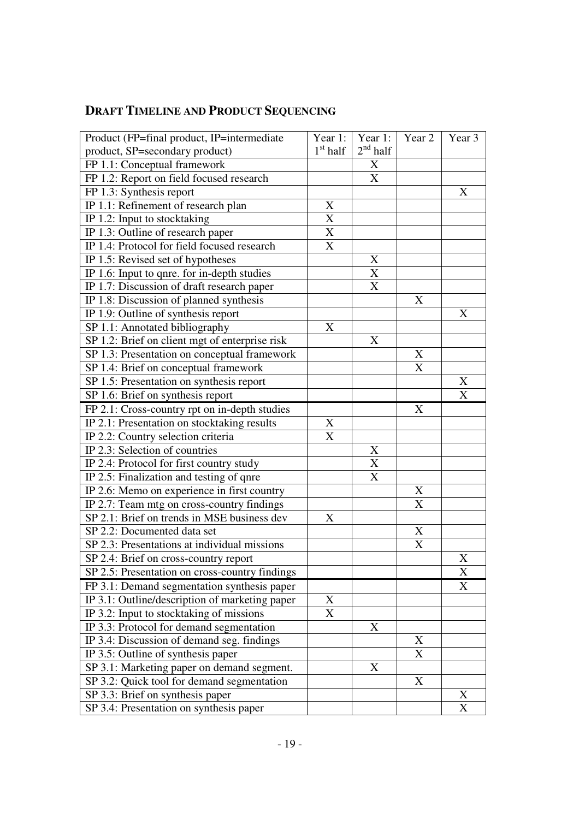# **DRAFT TIMELINE AND PRODUCT SEQUENCING**

| Product (FP=final product, IP=intermediate     | Year 1:               | Year 1:           | Year <sub>2</sub> | Year 3 |  |
|------------------------------------------------|-----------------------|-------------------|-------------------|--------|--|
| product, SP=secondary product)                 | $1st$ half            | $2^{\rm nd}$ half |                   |        |  |
| FP 1.1: Conceptual framework                   |                       | X                 |                   |        |  |
| FP 1.2: Report on field focused research       |                       | X                 |                   |        |  |
| FP 1.3: Synthesis report                       |                       |                   |                   | X      |  |
| IP 1.1: Refinement of research plan            | X                     |                   |                   |        |  |
| IP 1.2: Input to stocktaking                   | X                     |                   |                   |        |  |
| IP 1.3: Outline of research paper              | X                     |                   |                   |        |  |
| IP 1.4: Protocol for field focused research    | X                     |                   |                   |        |  |
| $\overline{IP}$ 1.5: Revised set of hypotheses |                       | X                 |                   |        |  |
| IP 1.6: Input to qnre. for in-depth studies    |                       | $\bf X$           |                   |        |  |
| IP 1.7: Discussion of draft research paper     |                       | X                 |                   |        |  |
| IP 1.8: Discussion of planned synthesis        |                       |                   | X                 |        |  |
| IP 1.9: Outline of synthesis report            |                       |                   |                   | X      |  |
| SP 1.1: Annotated bibliography                 | X                     |                   |                   |        |  |
| SP 1.2: Brief on client mgt of enterprise risk |                       | X                 |                   |        |  |
| SP 1.3: Presentation on conceptual framework   |                       |                   | X                 |        |  |
| SP 1.4: Brief on conceptual framework          |                       |                   | X                 |        |  |
| SP 1.5: Presentation on synthesis report       |                       |                   |                   | X      |  |
| SP 1.6: Brief on synthesis report              |                       |                   |                   | X      |  |
| FP 2.1: Cross-country rpt on in-depth studies  |                       |                   | X                 |        |  |
| IP 2.1: Presentation on stocktaking results    | X                     |                   |                   |        |  |
| IP 2.2: Country selection criteria             | $\overline{\text{X}}$ |                   |                   |        |  |
| IP 2.3: Selection of countries                 |                       | X                 |                   |        |  |
| IP 2.4: Protocol for first country study       |                       | $\mathbf X$       |                   |        |  |
| IP 2.5: Finalization and testing of qnre       |                       | X                 |                   |        |  |
| IP 2.6: Memo on experience in first country    |                       |                   | X                 |        |  |
| IP 2.7: Team mtg on cross-country findings     |                       |                   | X                 |        |  |
| SP 2.1: Brief on trends in MSE business dev    | X                     |                   |                   |        |  |
| SP 2.2: Documented data set                    |                       |                   | X                 |        |  |
| SP 2.3: Presentations at individual missions   |                       |                   | X                 |        |  |
| SP 2.4: Brief on cross-country report          |                       |                   |                   | X      |  |
| SP 2.5: Presentation on cross-country findings |                       |                   |                   | X      |  |
| FP 3.1: Demand segmentation synthesis paper    |                       |                   |                   | X      |  |
| IP 3.1: Outline/description of marketing paper | X                     |                   |                   |        |  |
| IP 3.2: Input to stocktaking of missions       | X                     |                   |                   |        |  |
| IP 3.3: Protocol for demand segmentation       |                       | X                 |                   |        |  |
| IP 3.4: Discussion of demand seg. findings     |                       |                   | X                 |        |  |
| IP 3.5: Outline of synthesis paper             |                       |                   | X                 |        |  |
| SP 3.1: Marketing paper on demand segment.     |                       | X                 |                   |        |  |
| SP 3.2: Quick tool for demand segmentation     |                       |                   | X                 |        |  |
| SP 3.3: Brief on synthesis paper               |                       |                   |                   | X      |  |
| SP 3.4: Presentation on synthesis paper        |                       |                   |                   | X      |  |
|                                                |                       |                   |                   |        |  |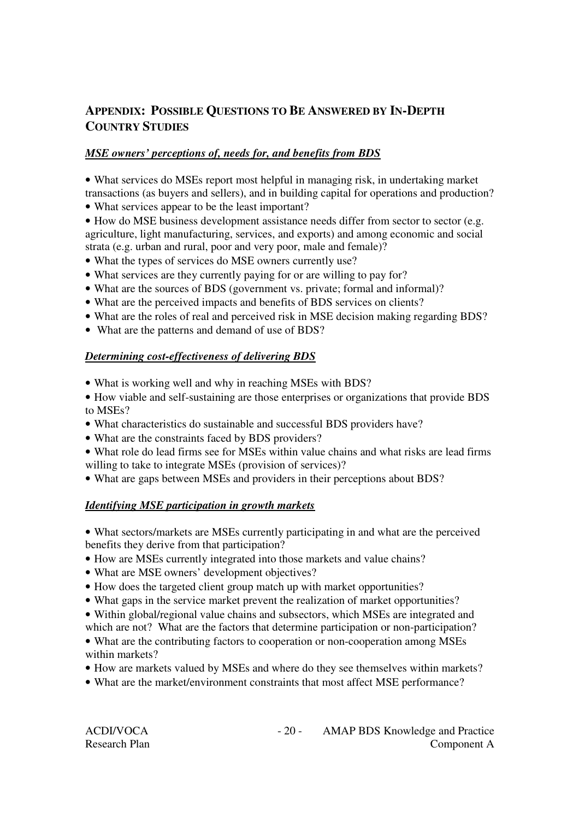# **APPENDIX: POSSIBLE QUESTIONS TO BE ANSWERED BY IN-DEPTH COUNTRY STUDIES**

# *MSE owners' perceptions of, needs for, and benefits from BDS*

• What services do MSEs report most helpful in managing risk, in undertaking market transactions (as buyers and sellers), and in building capital for operations and production?

- What services appear to be the least important?
- How do MSE business development assistance needs differ from sector to sector (e.g. agriculture, light manufacturing, services, and exports) and among economic and social strata (e.g. urban and rural, poor and very poor, male and female)?
- What the types of services do MSE owners currently use?
- What services are they currently paying for or are willing to pay for?
- What are the sources of BDS (government vs. private; formal and informal)?
- What are the perceived impacts and benefits of BDS services on clients?
- What are the roles of real and perceived risk in MSE decision making regarding BDS?
- What are the patterns and demand of use of BDS?

#### *Determining cost-effectiveness of delivering BDS*

- What is working well and why in reaching MSEs with BDS?
- How viable and self-sustaining are those enterprises or organizations that provide BDS to MSEs?
- What characteristics do sustainable and successful BDS providers have?
- What are the constraints faced by BDS providers?
- What role do lead firms see for MSEs within value chains and what risks are lead firms willing to take to integrate MSEs (provision of services)?
- What are gaps between MSEs and providers in their perceptions about BDS?

## *Identifying MSE participation in growth markets*

• What sectors/markets are MSEs currently participating in and what are the perceived benefits they derive from that participation?

- How are MSEs currently integrated into those markets and value chains?
- What are MSE owners' development objectives?
- How does the targeted client group match up with market opportunities?
- What gaps in the service market prevent the realization of market opportunities?
- Within global/regional value chains and subsectors, which MSEs are integrated and which are not? What are the factors that determine participation or non-participation?
- What are the contributing factors to cooperation or non-cooperation among MSEs within markets?
- How are markets valued by MSEs and where do they see themselves within markets?
- What are the market/environment constraints that most affect MSE performance?

| ACDI/VOCA            |  |
|----------------------|--|
| <b>Research Plan</b> |  |